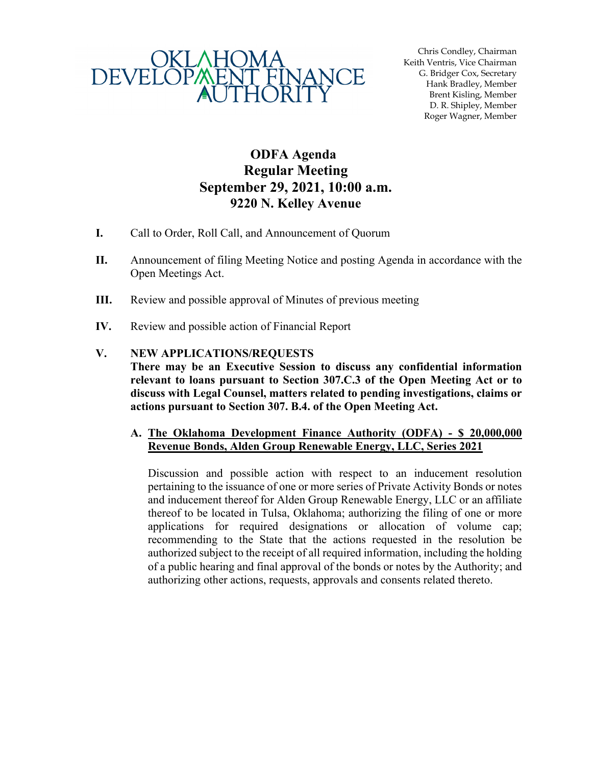

Chris Condley, Chairman Keith Ventris, Vice Chairman G. Bridger Cox, Secretary Hank Bradley, Member Brent Kisling, Member D. R. Shipley, Member Roger Wagner, Member

## **ODFA Agenda Regular Meeting September 29, 2021, 10:00 a.m. 9220 N. Kelley Avenue**

- **I.** Call to Order, Roll Call, and Announcement of Quorum
- **II.** Announcement of filing Meeting Notice and posting Agenda in accordance with the Open Meetings Act.
- **III.** Review and possible approval of Minutes of previous meeting
- **IV.** Review and possible action of Financial Report

## **V. NEW APPLICATIONS/REQUESTS**

**There may be an Executive Session to discuss any confidential information relevant to loans pursuant to Section 307.C.3 of the Open Meeting Act or to discuss with Legal Counsel, matters related to pending investigations, claims or actions pursuant to Section 307. B.4. of the Open Meeting Act.** 

## **A. The Oklahoma Development Finance Authority (ODFA) - \$ 20,000,000 Revenue Bonds, Alden Group Renewable Energy, LLC, Series 2021**

Discussion and possible action with respect to an inducement resolution pertaining to the issuance of one or more series of Private Activity Bonds or notes and inducement thereof for Alden Group Renewable Energy, LLC or an affiliate thereof to be located in Tulsa, Oklahoma; authorizing the filing of one or more applications for required designations or allocation of volume cap; recommending to the State that the actions requested in the resolution be authorized subject to the receipt of all required information, including the holding of a public hearing and final approval of the bonds or notes by the Authority; and authorizing other actions, requests, approvals and consents related thereto.